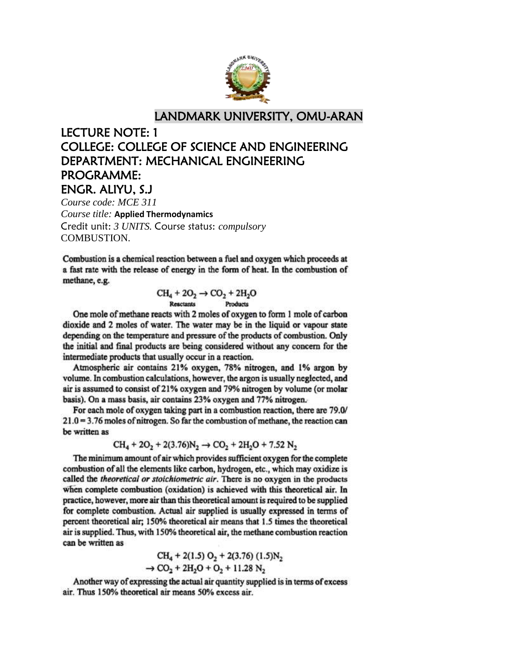

LANDMARK UNIVERSITY, OMU-ARAN

# LECTURE NOTE: 1 COLLEGE: COLLEGE OF SCIENCE AND ENGINEERING DEPARTMENT: MECHANICAL ENGINEERING PROGRAMME: ENGR. ALIYU, S.J

*Course code: MCE 311 Course title:* **Applied Thermodynamics** Credit unit: *3 UNITS.* Course status: *compulsory* COMBUSTION.

Combustion is a chemical reaction between a fuel and oxygen which proceeds at a fast rate with the release of energy in the form of heat. In the combustion of methane, e.g.

$$
\begin{array}{c}\mathrm{CH_4} + 2\mathrm{O_2} \rightarrow \mathrm{CO_2} + 2\mathrm{H_2O}\\ \text{Reacitants}\end{array}
$$

One mole of methane reacts with 2 moles of oxygen to form 1 mole of carbon dioxide and 2 moles of water. The water may be in the liquid or vapour state depending on the temperature and pressure of the products of combustion. Only the initial and final products are being considered without any concern for the intermediate products that usually occur in a reaction.

Atmospheric air contains 21% oxygen, 78% nitrogen, and 1% argon by volume. In combustion calculations, however, the argon is usually neglected, and air is assumed to consist of 21% oxygen and 79% nitrogen by volume (or molar basis). On a mass basis, air contains 23% oxygen and 77% nitrogen.

For each mole of oxygen taking part in a combustion reaction, there are 79.0/  $21.0 = 3.76$  moles of nitrogen. So far the combustion of methane, the reaction can be written as

 $CH_4 + 2O_2 + 2(3.76)N_2 \rightarrow CO_2 + 2H_2O + 7.52 N_2$ 

The minimum amount of air which provides sufficient oxygen for the complete combustion of all the elements like carbon, hydrogen, etc., which may oxidize is called the theoretical or stoichiometric air. There is no oxygen in the products when complete combustion (oxidation) is achieved with this theoretical air. In practice, however, more air than this theoretical amount is required to be supplied for complete combustion. Actual air supplied is usually expressed in terms of percent theoretical air; 150% theoretical air means that 1.5 times the theoretical air is supplied. Thus, with 150% theoretical air, the methane combustion reaction can be written as

$$
CH_4 + 2(1.5) O_2 + 2(3.76) (1.5) N_2
$$
  
\n
$$
\rightarrow CO_2 + 2H_2O + O_2 + 11.28 N_2
$$

Another way of expressing the actual air quantity supplied is in terms of excess air. Thus 150% theoretical air means 50% excess air.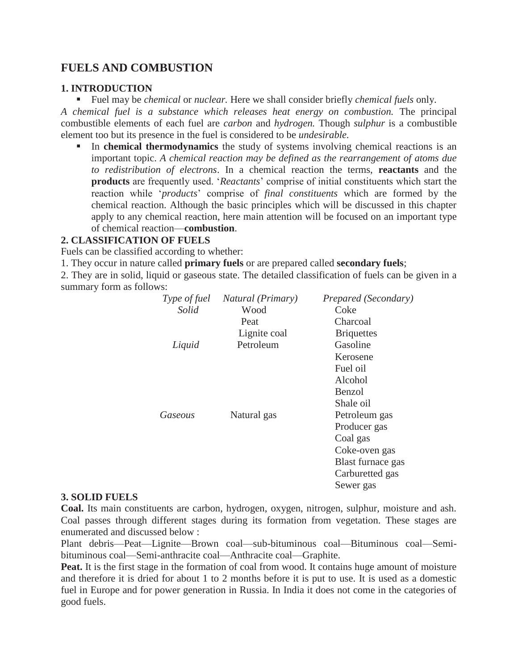# **FUELS AND COMBUSTION**

#### **1. INTRODUCTION**

Fuel may be *chemical* or *nuclear.* Here we shall consider briefly *chemical fuels* only.

*A chemical fuel is a substance which releases heat energy on combustion.* The principal combustible elements of each fuel are *carbon* and *hydrogen.* Though *sulphur* is a combustible element too but its presence in the fuel is considered to be *undesirable.*

In **chemical thermodynamics** the study of systems involving chemical reactions is an important topic. *A chemical reaction may be defined as the rearrangement of atoms due to redistribution of electrons*. In a chemical reaction the terms, **reactants** and the **products** are frequently used. '*Reactants*' comprise of initial constituents which start the reaction while '*products*' comprise of *final constituents* which are formed by the chemical reaction. Although the basic principles which will be discussed in this chapter apply to any chemical reaction, here main attention will be focused on an important type of chemical reaction—**combustion**.

#### **2. CLASSIFICATION OF FUELS**

Fuels can be classified according to whether:

1. They occur in nature called **primary fuels** or are prepared called **secondary fuels**;

2. They are in solid, liquid or gaseous state. The detailed classification of fuels can be given in a summary form as follows:

| Type of fuel | Natural (Primary) | Prepared (Secondary) |
|--------------|-------------------|----------------------|
| Solid        | Wood              | Coke                 |
|              | Peat              | Charcoal             |
|              | Lignite coal      | <b>Briquettes</b>    |
| Liquid       | Petroleum         | Gasoline             |
|              |                   | Kerosene             |
|              |                   | Fuel oil             |
|              |                   | Alcohol              |
|              |                   | Benzol               |
|              |                   | Shale oil            |
| Gaseous      | Natural gas       | Petroleum gas        |
|              |                   | Producer gas         |
|              |                   | Coal gas             |
|              |                   | Coke-oven gas        |
|              |                   | Blast furnace gas    |
|              |                   | Carburetted gas      |
|              |                   | Sewer gas            |

#### **3. SOLID FUELS**

**Coal.** Its main constituents are carbon, hydrogen, oxygen, nitrogen, sulphur, moisture and ash. Coal passes through different stages during its formation from vegetation. These stages are enumerated and discussed below :

Plant debris—Peat—Lignite—Brown coal—sub-bituminous coal—Bituminous coal—Semibituminous coal—Semi-anthracite coal—Anthracite coal—Graphite.

Peat. It is the first stage in the formation of coal from wood. It contains huge amount of moisture and therefore it is dried for about 1 to 2 months before it is put to use. It is used as a domestic fuel in Europe and for power generation in Russia. In India it does not come in the categories of good fuels.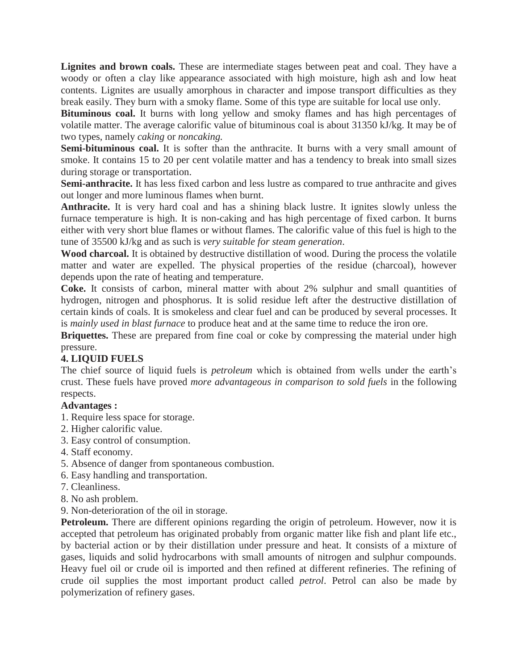**Lignites and brown coals.** These are intermediate stages between peat and coal. They have a woody or often a clay like appearance associated with high moisture, high ash and low heat contents. Lignites are usually amorphous in character and impose transport difficulties as they break easily. They burn with a smoky flame. Some of this type are suitable for local use only.

**Bituminous coal.** It burns with long yellow and smoky flames and has high percentages of volatile matter. The average calorific value of bituminous coal is about 31350 kJ/kg. It may be of two types, namely *caking* or *noncaking.*

Semi-bituminous coal. It is softer than the anthracite. It burns with a very small amount of smoke. It contains 15 to 20 per cent volatile matter and has a tendency to break into small sizes during storage or transportation.

Semi-anthracite. It has less fixed carbon and less lustre as compared to true anthracite and gives out longer and more luminous flames when burnt.

**Anthracite.** It is very hard coal and has a shining black lustre. It ignites slowly unless the furnace temperature is high. It is non-caking and has high percentage of fixed carbon. It burns either with very short blue flames or without flames. The calorific value of this fuel is high to the tune of 35500 kJ/kg and as such is *very suitable for steam generation*.

**Wood charcoal.** It is obtained by destructive distillation of wood. During the process the volatile matter and water are expelled. The physical properties of the residue (charcoal), however depends upon the rate of heating and temperature.

**Coke.** It consists of carbon, mineral matter with about 2% sulphur and small quantities of hydrogen, nitrogen and phosphorus. It is solid residue left after the destructive distillation of certain kinds of coals. It is smokeless and clear fuel and can be produced by several processes. It is *mainly used in blast furnace* to produce heat and at the same time to reduce the iron ore.

**Briquettes.** These are prepared from fine coal or coke by compressing the material under high pressure.

### **4. LIQUID FUELS**

The chief source of liquid fuels is *petroleum* which is obtained from wells under the earth's crust. These fuels have proved *more advantageous in comparison to sold fuels* in the following respects.

### **Advantages :**

- 1. Require less space for storage.
- 2. Higher calorific value.
- 3. Easy control of consumption.
- 4. Staff economy.
- 5. Absence of danger from spontaneous combustion.
- 6. Easy handling and transportation.
- 7. Cleanliness.
- 8. No ash problem.
- 9. Non-deterioration of the oil in storage.

**Petroleum.** There are different opinions regarding the origin of petroleum. However, now it is accepted that petroleum has originated probably from organic matter like fish and plant life etc., by bacterial action or by their distillation under pressure and heat. It consists of a mixture of gases, liquids and solid hydrocarbons with small amounts of nitrogen and sulphur compounds. Heavy fuel oil or crude oil is imported and then refined at different refineries. The refining of crude oil supplies the most important product called *petrol*. Petrol can also be made by polymerization of refinery gases.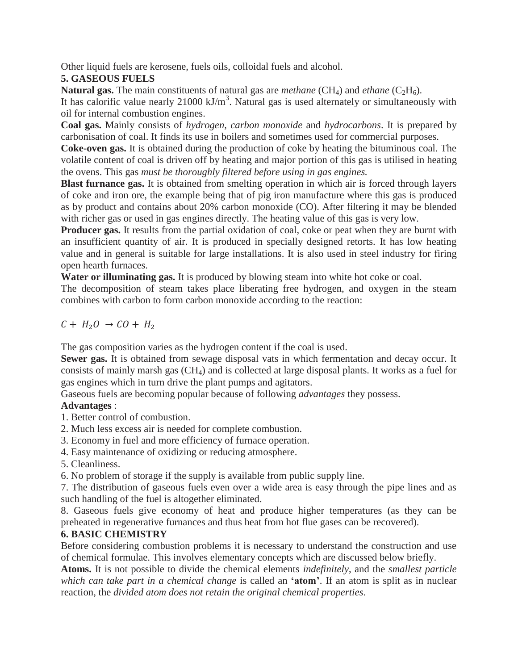Other liquid fuels are kerosene, fuels oils, colloidal fuels and alcohol.

### **5. GASEOUS FUELS**

**Natural gas.** The main constituents of natural gas are *methane*  $(CH<sub>4</sub>)$  and *ethane*  $(C<sub>2</sub>H<sub>6</sub>)$ .

It has calorific value nearly  $21000 \text{ kJ/m}^3$ . Natural gas is used alternately or simultaneously with oil for internal combustion engines.

**Coal gas.** Mainly consists of *hydrogen, carbon monoxide* and *hydrocarbons*. It is prepared by carbonisation of coal. It finds its use in boilers and sometimes used for commercial purposes.

**Coke-oven gas.** It is obtained during the production of coke by heating the bituminous coal. The volatile content of coal is driven off by heating and major portion of this gas is utilised in heating the ovens. This gas *must be thoroughly filtered before using in gas engines.*

**Blast furnance gas.** It is obtained from smelting operation in which air is forced through layers of coke and iron ore, the example being that of pig iron manufacture where this gas is produced as by product and contains about 20% carbon monoxide (CO). After filtering it may be blended with richer gas or used in gas engines directly. The heating value of this gas is very low.

**Producer gas.** It results from the partial oxidation of coal, coke or peat when they are burnt with an insufficient quantity of air. It is produced in specially designed retorts. It has low heating value and in general is suitable for large installations. It is also used in steel industry for firing open hearth furnaces.

**Water or illuminating gas.** It is produced by blowing steam into white hot coke or coal.

The decomposition of steam takes place liberating free hydrogen, and oxygen in the steam combines with carbon to form carbon monoxide according to the reaction:

$$
C + H_2O \rightarrow CO + H_2
$$

The gas composition varies as the hydrogen content if the coal is used.

**Sewer gas.** It is obtained from sewage disposal vats in which fermentation and decay occur. It consists of mainly marsh gas (CH4) and is collected at large disposal plants. It works as a fuel for gas engines which in turn drive the plant pumps and agitators.

Gaseous fuels are becoming popular because of following *advantages* they possess.

# **Advantages** :

1. Better control of combustion.

- 2. Much less excess air is needed for complete combustion.
- 3. Economy in fuel and more efficiency of furnace operation.
- 4. Easy maintenance of oxidizing or reducing atmosphere.
- 5. Cleanliness.

6. No problem of storage if the supply is available from public supply line.

7. The distribution of gaseous fuels even over a wide area is easy through the pipe lines and as such handling of the fuel is altogether eliminated.

8. Gaseous fuels give economy of heat and produce higher temperatures (as they can be preheated in regenerative furnances and thus heat from hot flue gases can be recovered).

# **6. BASIC CHEMISTRY**

Before considering combustion problems it is necessary to understand the construction and use of chemical formulae. This involves elementary concepts which are discussed below briefly.

**Atoms.** It is not possible to divide the chemical elements *indefinitely*, and the *smallest particle which can take part in a chemical change* is called an **'atom'**. If an atom is split as in nuclear reaction, the *divided atom does not retain the original chemical properties*.